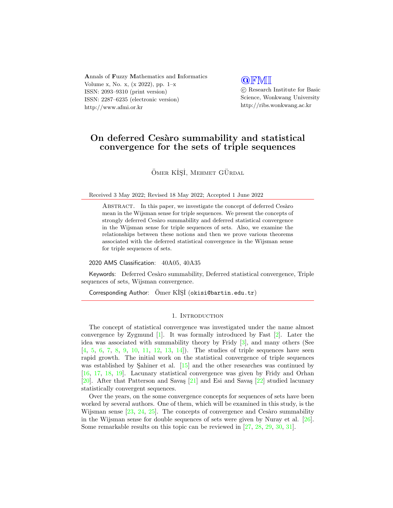Annals of Fuzzy Mathematics and Informatics Volume x, No. x, (x 2022), pp. 1–x ISSN: 2093–9310 (print version) ISSN: 2287–6235 (electronic version) http://www.afmi.or.kr

## **QFMI**

 c Research Institute for Basic Science, Wonkwang University http://ribs.wonkwang.ac.kr

# On deferred Cesàro summability and statistical convergence for the sets of triple sequences

ÖMER KİŞİ, MEHMET GÜRDAL

Received 3 May 2022; Revised 18 May 2022; Accepted 1 June 2022

ABSTRACT. In this paper, we investigate the concept of deferred Cesaro mean in the Wijsman sense for triple sequences. We present the concepts of strongly deferred Cesàro summability and deferred statistical convergence in the Wijsman sense for triple sequences of sets. Also, we examine the relationships between these notions and then we prove various theorems associated with the deferred statistical convergence in the Wijsman sense for triple sequences of sets.

2020 AMS Classification: 40A05, 40A35

Keywords: Deferred Cesàro summability, Deferred statistical convergence, Triple sequences of sets, Wijsman convergence.

Corresponding Author:  $\ddot{O}$ mer KIŞI (okisi@bartin.edu.tr)

### 1. INTRODUCTION

The concept of statistical convergence was investigated under the name almost convergence by Zygmund [\[1\]](#page-10-0). It was formally introduced by Fast [\[2\]](#page-10-1). Later the idea was associated with summability theory by Fridy [\[3\]](#page-10-2), and many others (See [\[4,](#page-10-3) [5,](#page-10-4) [6,](#page-10-5) [7,](#page-11-0) [8,](#page-11-1) [9,](#page-11-2) [10,](#page-11-3) [11,](#page-11-4) [12,](#page-11-5) [13,](#page-11-6) [14\]](#page-11-7)). The studies of triple sequences have seen rapid growth. The initial work on the statistical convergence of triple sequences was established by Sahiner et al.  $\left[15\right]$  and the other researches was continued by [\[16,](#page-11-9) [17,](#page-11-10) [18,](#page-11-11) [19\]](#page-11-12). Lacunary statistical convergence was given by Fridy and Orhan [\[20\]](#page-11-13). After that Patterson and Savas [\[21\]](#page-11-14) and Esi and Savas [\[22\]](#page-11-15) studied lacunary statistically convergent sequences.

Over the years, on the some convergence concepts for sequences of sets have been worked by several authors. One of them, which will be examined in this study, is the Wijsman sense  $[23, 24, 25]$  $[23, 24, 25]$  $[23, 24, 25]$  $[23, 24, 25]$  $[23, 24, 25]$ . The concepts of convergence and Cesàro summability in the Wijsman sense for double sequences of sets were given by Nuray et al. [\[26\]](#page-11-19). Some remarkable results on this topic can be reviewed in [\[27,](#page-11-20) [28,](#page-11-21) [29,](#page-11-22) [30,](#page-11-23) [31\]](#page-11-24).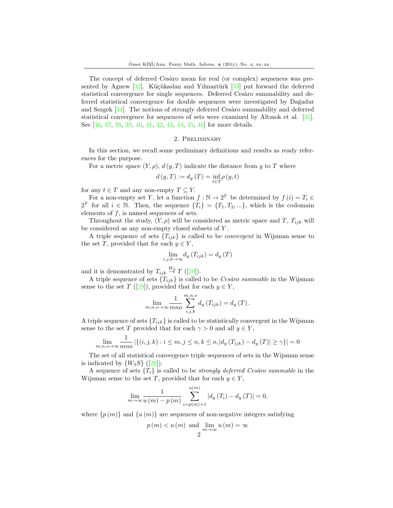The concept of deferred Cesaro mean for real (or complex) sequences was presented by Agnew  $[32]$ . Küçükaslan and Yılmaztürk  $[33]$  put forward the deferred statistical convergence for single sequences. Deferred Cesàro summability and deferred statistical convergence for double sequences were investigated by Dağadur and Sezgek  $[34]$ . The notions of strongly deferred Cesaro summability and deferred statistical convergence for sequences of sets were examined by Altınok et al. [\[35\]](#page-12-2). See [\[36,](#page-12-3) [37,](#page-12-4) [38,](#page-12-5) [39,](#page-12-6) [40,](#page-12-7) [41,](#page-12-8) [42,](#page-12-9) [43,](#page-12-10) [44,](#page-12-11) [45,](#page-12-12) [46\]](#page-12-13) for more details.

### 2. Preliminary

In this section, we recall some preliminary definitions and results as ready references for the purpose.

For a metric space  $(Y, \rho)$ ,  $d(y, T)$  indicate the distance from y to T where

$$
d(y,T) := d_y(T) = \inf_{t \in T} \rho(y,t)
$$

for any  $t \in T$  and any non-empty  $T \subseteq Y$ .

For a non-empty set Y, let a function  $f : \mathbb{N} \to 2^Y$  be determined by  $f(i) = T_i \in$  $2^Y$  for all  $i \in \mathbb{N}$ . Then, the sequence  $\{T_i\} = \{T_1, T_2, ...\}$ , which is the codomain elements of  $f$ , is named sequences of sets.

Throughout the study,  $(Y, \rho)$  will be considered as metric space and T,  $T_{ijk}$  will be considered as any non-empty closed subsets of Y .

A triple sequence of sets  ${T_{ijk}}$  is called to be *convergent* in Wijsman sense to the set T, provided that for each  $y \in Y$ ,

$$
\lim_{i,j,k\to\infty} d_y(T_{ijk}) = d_y(T)
$$

and it is demonstrated by  $T_{ijk} \stackrel{W_3}{\rightarrow} T$  ([\[29\]](#page-11-22)).

A triple sequence of sets  $\{T_{iik}\}\$ is called to be Cesàro summable in the Wijsman sense to the set T ([\[29\]](#page-11-22)), provided that for each  $y \in Y$ ,

$$
\lim_{m,n,o\to\infty} \frac{1}{mno} \sum_{i,j,k}^{m,n,o} d_y(T_{ijk}) = d_y(T).
$$

A triple sequence of sets  ${T_{ijk}}$  is called to be statistically convergent in the Wijsman sense to the set T provided that for each  $\gamma > 0$  and all  $y \in Y$ ,

$$
\lim_{m,n,o \to \infty} \frac{1}{mno} |\{(i,j,k) : i \leq m, j \leq n, k \leq o, |d_y(T_{ijk}) - d_y(T)| \geq \gamma\}| = 0
$$

The set of all statistical convergence triple sequences of sets in the Wijsman sense is indicated by  $\{W_3S\}$  ([\[29\]](#page-11-22)).

A sequence of sets  ${T_i}$  is called to be *strongly deferred Cesàro summable* in the Wijsman sense to the set T, provided that for each  $y \in Y$ ,

$$
\lim_{m \to \infty} \frac{1}{u(m) - p(m)} \sum_{i=p(m)+1}^{u(m)} |d_y(T_i) - d_y(T)| = 0,
$$

where  $\{p(m)\}\$  and  $\{u(m)\}\$ are sequences of non-negative integers satisfying

$$
p(m) < u(m)
$$
 and  $\lim_{m \to \infty} u(m) = \infty$   
2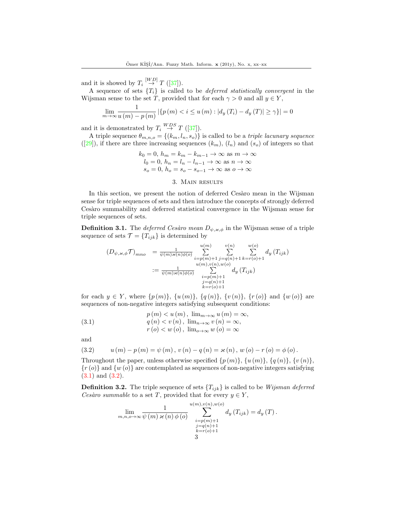and it is showed by  $T_i \stackrel{[WD]}{\rightarrow} T ([37]).$  $T_i \stackrel{[WD]}{\rightarrow} T ([37]).$  $T_i \stackrel{[WD]}{\rightarrow} T ([37]).$ 

A sequence of sets  ${T<sub>i</sub>}$  is called to be *deferred statistically convergent* in the Wijsman sense to the set T, provided that for each  $\gamma > 0$  and all  $y \in Y$ ,

$$
\lim_{m \to \infty} \frac{1}{u(m) - p(m)} | \{ p(m) < i \le u(m) : |d_y(T_i) - d_y(T)| \ge \gamma \} | = 0
$$

and it is demonstrated by  $T_i \stackrel{WDS}{\rightarrow} T$  ([\[37\]](#page-12-4)).

A triple sequence  $\theta_{m,n,o} = \{(k_m, l_n, s_o)\}\$ is called to be a *triple lacunary sequence*  $([29])$  $([29])$  $([29])$ , if there are three increasing sequences  $(k_m)$ ,  $(l_n)$  and  $(s_o)$  of integers so that

$$
k_0 = 0, h_m = k_m - k_{m-1} \to \infty \text{ as } m \to \infty
$$
  

$$
l_0 = 0, h_n = l_n - l_{n-1} \to \infty \text{ as } n \to \infty
$$
  

$$
s_o = 0, h_o = s_o - s_{o-1} \to \infty \text{ as } o \to \infty
$$

#### 3. Main results

In this section, we present the notion of deferred Cesaro mean in the Wijsman sense for triple sequences of sets and then introduce the concepts of strongly deferred Ces`aro summability and deferred statistical convergence in the Wijsman sense for triple sequences of sets.

**Definition 3.1.** The *deferred Cesàro mean*  $D_{\psi, \varkappa, \phi}$  in the Wijsman sense of a triple sequence of sets  $\mathcal{T} = \{T_{ijk}\}\$ is determined by

$$
(D_{\psi,\varkappa,\phi}\mathcal{T})_{mno} = \frac{1}{\psi(m)\varkappa(n)\phi(o)} \sum_{\substack{i=p(m)+1 \ j=q(n)+1 \ k=r(o)+1}}^{u(m)} \sum_{\substack{j=p(m)+1 \ j=q(n)+1 \ k=r(o)+1}}^{v(n)} \sum_{\substack{w(o) \ w(n),w(o) \ k=p(m)+1}}^{w(o)} d_y(T_{ijk})
$$
  
:=  $\frac{1}{\psi(m)\varkappa(n)\phi(o)} \sum_{\substack{i=p(m)+1 \ j=q(n)+1 \ k=r(o)+1}}^{u(m)} d_y(T_{ijk})$ 

for each  $y \in Y$ , where  $\{p(m)\}, \{u(m)\}, \{q(n)\}, \{v(n)\}, \{r(o)\}\$  and  $\{w(o)\}\$ sequences of non-negative integers satisfying subsequent conditions:

<span id="page-2-0"></span>(3.1) 
$$
p(m) < u(m), \lim_{m \to \infty} u(m) = \infty
$$

$$
q(n) < v(n), \lim_{n \to \infty} v(n) = \infty,
$$

$$
r(o) < w(o), \lim_{o \to \infty} w(o) = \infty
$$

and

<span id="page-2-1"></span>(3.2) 
$$
u(m) - p(m) = \psi(m), v(n) - q(n) = \varkappa(n), w(o) - r(o) = \phi(o).
$$

Throughout the paper, unless otherwise specified  $\{p(m)\}\$ ,  $\{q(n)\}\$ ,  $\{v(n)\}\$ ,  ${r(\rho)}$  and  ${w(\rho)}$  are contemplated as sequences of non-negative integers satisfying [\(3.1\)](#page-2-0) and [\(3.2\)](#page-2-1).

**Definition 3.2.** The triple sequence of sets  ${T_{ijk}}$  is called to be *Wijsman deferred* Cesàro summable to a set T, provided that for every  $y \in Y$ ,

$$
\lim_{m,n,o\to\infty} \frac{1}{\psi(m) \times (n) \phi(o)} \sum_{\substack{i=p(m)+1 \ j=q(n)+1}}^{u(m), v(n), w(o)} d_y(T_{ijk}) = d_y(T).
$$
  

$$
\sum_{\substack{i=p(m)+1 \ k=r(o)+1}}^{u(m), v(n), w(o)} d_y(T_{ijk}) = d_y(T).
$$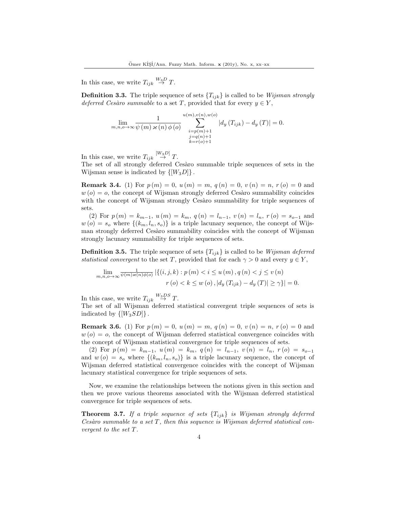In this case, we write  $T_{ijk} \stackrel{W_3D}{\rightarrow} T$ .

**Definition 3.3.** The triple sequence of sets  ${T_{ijk}}$  is called to be *Wijsman strongly* deferred Cesàro summable to a set T, provided that for every  $y \in Y$ ,

$$
\lim_{m,n,o\to\infty} \frac{1}{\psi(m) \times (n) \phi(o)} \sum_{\substack{i=p(m)+1\\j=q(n)+1\\j=q(n)+1\\k=r(o)+1}}^{u(m),v(n),w(o)} |d_y(T_{ijk}) - d_y(T)| = 0.
$$

In this case, we write  $T_{ijk} \stackrel{[W_3D]}{\rightarrow} T$ .

The set of all strongly deferred Cesaro summable triple sequences of sets in the Wijsman sense is indicated by  $\{[W_3D]\}.$ 

**Remark 3.4.** (1) For  $p(m) = 0$ ,  $u(m) = m$ ,  $q(n) = 0$ ,  $v(n) = n$ ,  $r(o) = 0$  and  $w(o) = o$ , the concept of Wijsman strongly deferred Cesàro summability coincides with the concept of Wijsman strongly Cesàro summability for triple sequences of sets.

(2) For  $p(m) = k_{m-1}$ ,  $u(m) = k_m$ ,  $q(n) = l_{n-1}$ ,  $v(n) = l_n$ ,  $r(o) = s_{o-1}$  and  $w(o) = s_o$  where  $\{(k_m, l_n, s_o)\}\$ is a triple lacunary sequence, the concept of Wijsman strongly deferred Cesaro summability coincides with the concept of Wijsman strongly lacunary summability for triple sequences of sets.

**Definition 3.5.** The triple sequence of sets  ${T_{ijk}}$  is called to be *Wijsman deferred* statistical convergent to the set T, provided that for each  $\gamma > 0$  and every  $y \in Y$ ,

$$
\lim_{m,n,o\to\infty} \frac{1}{\psi(m)\varkappa(n)\phi(o)} \left| \left\{ (i,j,k) : p(m) < i \le u(m), q(n) < j \le v(n) \right\} \right|
$$
  

$$
r(o) < k \le w(o), |d_y(T_{ijk}) - d_y(T)| \ge \gamma \} | = 0.
$$

In this case, we write  $T_{ijk} \stackrel{W_3DS}{\rightarrow} T$ .

The set of all Wijsman deferred statistical convergent triple sequences of sets is indicated by  $\{[W_3SD]\}.$ 

**Remark 3.6.** (1) For  $p(m) = 0$ ,  $u(m) = m$ ,  $q(n) = 0$ ,  $v(n) = n$ ,  $r(o) = 0$  and  $w(o) = o$ , the concept of Wijsman deferred statistical convergence coincides with the concept of Wijsman statistical convergence for triple sequences of sets.

(2) For  $p(m) = k_{m-1}$ ,  $u(m) = k_m$ ,  $q(n) = l_{n-1}$ ,  $v(n) = l_n$ ,  $r(o) = s_{o-1}$ and  $w(o) = s_o$  where  $\{(k_m, l_n, s_o)\}\$ is a triple lacunary sequence, the concept of Wijsman deferred statistical convergence coincides with the concept of Wijsman lacunary statistical convergence for triple sequences of sets.

Now, we examine the relationships between the notions given in this section and then we prove various theorems associated with the Wijsman deferred statistical convergence for triple sequences of sets.

<span id="page-3-0"></span>**Theorem 3.7.** If a triple sequence of sets  ${T_{ijk}}$  is Wijsman strongly deferred Cesàro summable to a set  $T$ , then this sequence is Wijsman deferred statistical convergent to the set T.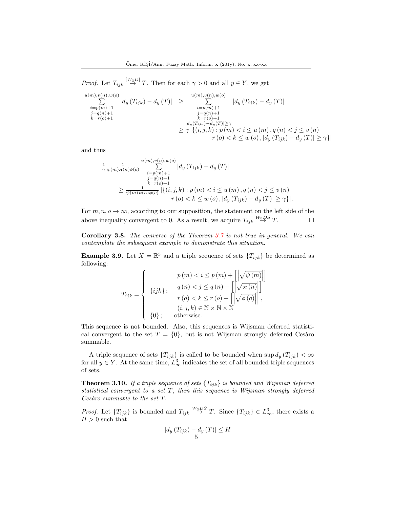*Proof.* Let  $T_{ijk} \stackrel{[W_3D]}{\rightarrow} T$ . Then for each  $\gamma > 0$  and all  $y \in Y$ , we get

$$
\sum_{\substack{i=p(m)+1\\j=q(n)+1\\k=r(o)+1}}^{u(m),v(n),w(o)}|d_y(T_{ijk}) - d_y(T)| \ge \sum_{\substack{i=p(m)+1\\j=q(n)+1\\k=r(o)+1\\k=r(o)+1}}^{u(m),v(n),w(o)}|d_y(T_{ijk}) - d_y(T)|
$$
  
\n
$$
\sum_{\substack{j=q(n)+1\\k=r(o)+1\\k=r(o)+1\\r(o) < k \le w(o), |d_y(T_{ijk}) - d_y(T)| \ge \gamma}}^{u(m),v(n),w(o)}|d_y(T_{ijk}) - d_y(T)|
$$

and thus

$$
\frac{1}{\gamma} \frac{1}{\psi(m)\varkappa(n)\phi(o)} \sum_{\substack{i=p(m)+1 \\ j=q(n)+1}}^{u(m),v(n),w(o)} |d_y(T_{ijk}) - d_y(T)|
$$
\n
$$
\geq \frac{1}{\psi(m)\varkappa(n)\phi(o)} |\{(i,j,k): p(m) < i \leq u(m), q(n) < j \leq v(n) \}
$$
\n
$$
r(o) < k \leq w(o), |d_y(T_{ijk}) - d_y(T)| \geq \gamma \}|.
$$

For  $m, n, o \to \infty$ , according to our supposition, the statement on the left side of the above inequality convergent to 0. As a result, we acquire  $T_{ijk} \stackrel{W_3DS}{\rightarrow} T$ .

Corollary 3.8. The converse of the Theorem [3.7](#page-3-0) is not true in general. We can contemplate the subsequent example to demonstrate this situation.

**Example 3.9.** Let  $X = \mathbb{R}^3$  and a triple sequence of sets  $\{T_{ijk}\}\$  be determined as following:

$$
T_{ijk} = \begin{cases} p(m) < i \leq p(m) + \left[ \left| \sqrt{\psi(m)} \right| \right] \\ \{ijk\} & ; \quad q(n) < j \leq q(n) + \left[ \left| \sqrt{\varkappa(n)} \right| \right] \\ r(o) < k \leq r(o) + \left[ \left| \sqrt{\phi(o)} \right| \right], \\ (i, j, k) \in \mathbb{N} \times \mathbb{N} \times \mathbb{N} \\ \{0\} & \text{otherwise.} \end{cases}
$$

This sequence is not bounded. Also, this sequences is Wijsman deferred statistical convergent to the set  $T = \{0\}$ , but is not Wijsman strongly deferred Cesàro summable.

A triple sequence of sets  ${T_{ijk}}$  is called to be bounded when  $\sup d_y (T_{ijk}) < \infty$ for all  $y \in Y$ . At the same time,  $L^3_{\infty}$  indicates the set of all bounded triple sequences of sets.

**Theorem 3.10.** If a triple sequence of sets  ${T_{ijk}}$  is bounded and Wijsman deferred statistical convergent to a set T, then this sequence is Wijsman strongly deferred  $Ces\grave{a}ro\ summable\ to\ the\ set\ T.$ 

*Proof.* Let  ${T_{ijk}}$  is bounded and  ${T_{ijk}} \stackrel{W_3DS}{\rightarrow} T$ . Since  ${T_{ijk}} \in L^3_\infty$ , there exists a  $H>0$  such that

$$
|d_y(T_{ijk}) - d_y(T)| \le H
$$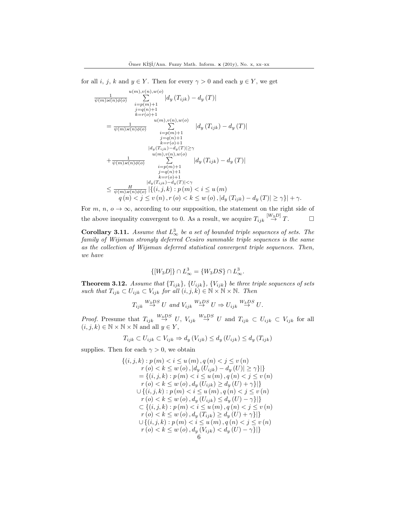for all i, j, k and  $y \in Y$ . Then for every  $\gamma > 0$  and each  $y \in Y$ , we get

$$
\frac{1}{\psi(m)\times(n)\phi(o)} \sum_{i=p(m)+1}^{u(m),v(n),w(o)} |d_y(T_{ijk}) - d_y(T)|
$$
\n
$$
= \frac{1}{\psi(m)\times(n)\phi(o)} \sum_{i=p(m)+1}^{u(m),v(n),w(o)} |d_y(T_{ijk}) - d_y(T)|
$$
\n
$$
= \frac{1}{\psi(m)\times(n)\phi(o)} \sum_{i=p(m)+1}^{u(m),v(n),w(o)} |d_y(T_{ijk}) - d_y(T)|
$$
\n
$$
+ \frac{1}{\psi(m)\times(n)\phi(o)} \sum_{i=p(m)+1}^{u(m),v(n),w(o)} |d_y(T_{ijk}) - d_y(T)|
$$
\n
$$
+ \frac{1}{\psi(m)\times(n)\phi(o)} \sum_{i=p(m)+1}^{u(m),v(n),w(o)} |d_y(T_{ijk}) - d_y(T)|
$$
\n
$$
\leq \frac{H}{\psi(m)\times(n)\phi(o)} |{(i,j,k):p(m) < i \leq u(m)} \frac{|d_y(T_{ijk}) - d_y(T)|}{q(n) < j \leq v(n),r(o) < k \leq w(o), |d_y(T_{ijk}) - d_y(T)| \geq \gamma}| + \gamma.
$$

For m,  $n, \, o \to \infty$ , according to our supposition, the statement on the right side of the above inequality convergent to 0. As a result, we acquire  $T_{ijk} \stackrel{[W_3D]}{\rightarrow} T$ .

**Corollary 3.11.** Assume that  $L^3_{\infty}$  be a set of bounded triple sequences of sets. The family of Wijsman strongly deferred Cesàro summable triple sequences is the same as the collection of Wijsman deferred statistical convergent triple sequences. Then, we have

$$
\{[W_3D]\}\cap L^3_{\infty} = \{W_3DS\}\cap L^3_{\infty}.
$$

**Theorem 3.12.** Assume that  ${T_{ijk}}$ ,  ${U_{ijk}}$ ,  ${V_{ijk}}$  be three triple sequences of sets such that  $T_{ijk} \subset U_{ijk} \subset V_{ijk}$  for all  $(i, j, k) \in \mathbb{N} \times \mathbb{N} \times \mathbb{N}$ . Then

$$
T_{ijk} \stackrel{W_3DS}{\rightarrow} U
$$
 and  $V_{ijk} \stackrel{W_3DS}{\rightarrow} U \Rightarrow U_{ijk} \stackrel{W_3DS}{\rightarrow} U$ .

*Proof.* Presume that  $T_{ijk} \stackrel{W_3DS}{\rightarrow} U$ ,  $V_{ijk} \stackrel{W_3DS}{\rightarrow} U$  and  $T_{ijk} \subset U_{ijk} \subset V_{ijk}$  for all  $(i, j, k) \in \mathbb{N} \times \mathbb{N} \times \mathbb{N}$  and all  $y \in Y$ ,

$$
T_{ijk} \subset U_{ijk} \subset V_{ijk} \Rightarrow d_y(V_{ijk}) \le d_y(U_{ijk}) \le d_y(T_{ijk})
$$

supplies. Then for each  $\gamma > 0$ , we obtain

$$
\{(i, j, k) : p(m) < i \le u(m), q(n) < j \le v(n) \nr(o) < k \le w(o), |d_y(U_{ijk}) - d_y(U)| \ge \gamma\}|\} \n= \{(i, j, k) : p(m) < i \le u(m), q(n) < j \le v(n) \nr(o) < k \le w(o), d_y(U_{ijk}) \ge d_y(U) + \gamma\}|\} \n\cup \{(i, j, k) : p(m) < i \le u(m), q(n) < j \le v(n) \nr(o) < k \le w(o), d_y(U_{ijk}) \le d_y(U) - \gamma\}|\} \n\subset \{(i, j, k) : p(m) < i \le u(m), q(n) < j \le v(n) \nr(o) < k \le w(o), d_y(T_{ijk}) \ge d_y(U) + \gamma\}|\} \n\cup \{(i, j, k) : p(m) < i \le u(m), q(n) < j \le v(n) \nr(o) < k \le w(o), d_y(V_{ijk}) < d_y(U) - \gamma\}|\}
$$
\n
$$
\{6\}
$$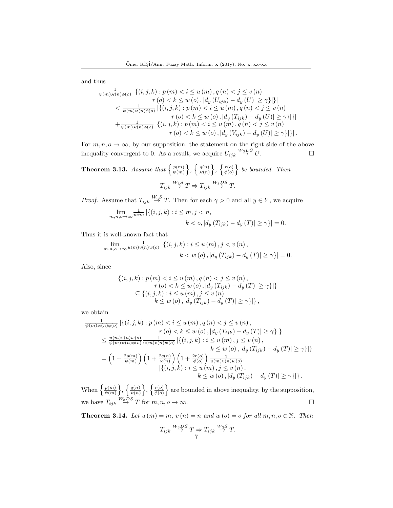and thus

$$
\frac{1}{\psi(m)\varkappa(n)\phi(o)} | \{ (i,j,k) : p(m) < i \le u(m), q(n) < j \le v(n) \\
r(o) < k \le w(o), |d_y(U_{ijk}) - d_y(U)| \ge \gamma \} | \} | \\
< \frac{1}{\psi(m)\varkappa(n)\phi(o)} | \{ (i,j,k) : p(m) < i \le u(m), q(n) < j \le v(n) \\
r(o) < k \le w(o), |d_y(T_{ijk}) - d_y(U)| \ge \gamma \} | \} | \\
+ \frac{1}{\psi(m)\varkappa(n)\phi(o)} | \{ (i,j,k) : p(m) < i \le u(m), q(n) < j \le v(n) \\
r(o) < k \le w(o), |d_y(V_{ijk}) - d_y(U)| \ge \gamma \} | \} |.
$$

For  $m, n, o \rightarrow \infty$ , by our supposition, the statement on the right side of the above inequality convergent to 0. As a result, we acquire  $U_{ijk} \stackrel{W_3DS}{\rightarrow} U$ .

**Theorem 3.13.** Assume that  $\left\{\frac{p(m)}{p(m)}\right\}$  $\left\{\frac{p(m)}{\psi(m)}\right\},\ \left\{\frac{q(n)}{\varkappa(n)}\right\},\ \left\{\frac{r(o)}{\phi(o)}\right\}$  $\left\{\frac{r(o)}{\phi(o)}\right\}$  be bounded. Then  $T_{ijk} \stackrel{W_3S}{\rightarrow} T \Rightarrow T_{ijk} \stackrel{W_3DS}{\rightarrow} T.$ 

*Proof.* Assume that  $T_{ijk} \stackrel{W_3 S}{\rightarrow} T$ . Then for each  $\gamma > 0$  and all  $y \in Y$ , we acquire

$$
\lim_{m,n,o\to\infty} \frac{1}{mno} \left| \left\{ (i,j,k) : i \leq m, j < n, \right. \\
k < o, \left| d_y \left( T_{ijk} \right) - d_y \left( T \right) \right| \geq \gamma \right\} \right| = 0.
$$

Thus it is well-known fact that

$$
\lim_{m,n,o\to\infty} \frac{1}{u(m)v(n)w(o)} | \{ (i,j,k) : i \le u(m), j < v(n),
$$
  
  $k < w(o), |d_y(T_{ijk}) - d_y(T)| \ge \gamma \} | = 0.$ 

Also, since

$$
\{(i, j, k) : p(m) < i \le u(m), q(n) < j \le v(n),
$$
  
\n
$$
r(o) < k \le w(o), |d_y(T_{ijk}) - d_y(T)| \ge \gamma\}|\}
$$
  
\n
$$
\subseteq \{(i, j, k) : i \le u(m), j \le v(n)
$$
  
\n
$$
k \le w(o), |d_y(T_{ijk}) - d_y(T)| \ge \gamma\}|\},
$$

we obtain

$$
\frac{1}{\psi(m)\varkappa(n)\phi(o)} | \{ (i,j,k) : p(m) < i \le u(m), q(n) < j \le v(n), \n r(o) < k \le w(o), |d_y(T_{ijk}) - d_y(T)| \ge \gamma \} | \} \n\le \frac{u(m)v(n)w(o)}{\psi(m)\varkappa(n)\phi(o)} \frac{1}{u(m)v(n)w(o)} | \{ (i,j,k) : i \le u(m), j \le v(n), \n k \le w(o), |d_y(T_{ijk}) - d_y(T)| \ge \gamma \} | \} \n= \left( 1 + \frac{2p(m)}{\psi(m)} \right) \left( 1 + \frac{2q(n)}{\varkappa(n)} \right) \left( 1 + \frac{2r(o)}{\phi(o)} \right) \frac{1}{u(m)v(n)w(o)}.
$$
\n
$$
| \{ (i,j,k) : i \le u(m), j \le v(n), \n k \le w(o), |d_y(T_{ijk}) - d_y(T)| \ge \gamma \} | \}.
$$

When  $\left\{\frac{p(m)}{p(m)}\right\}$  $\left\{\frac{p(m)}{\psi(m)}\right\},\left\{\frac{q(n)}{\varkappa(n)}\right\},\left\{\frac{r(o)}{\phi(o)}\right\}$  $\left(\frac{r(o)}{\phi(o)}\right)$  are bounded in above inequality, by the supposition, we have  $T_{ijk} \stackrel{W_3DS}{\rightarrow} T$  for  $m, n, o \rightarrow \infty$ .

**Theorem 3.14.** Let  $u(m) = m$ ,  $v(n) = n$  and  $w(o) = o$  for all  $m, n, o \in \mathbb{N}$ . Then

$$
T_{ijk} \stackrel{W_3DS}{\rightarrow} T \Rightarrow T_{ijk} \stackrel{W_3S}{\rightarrow} T.
$$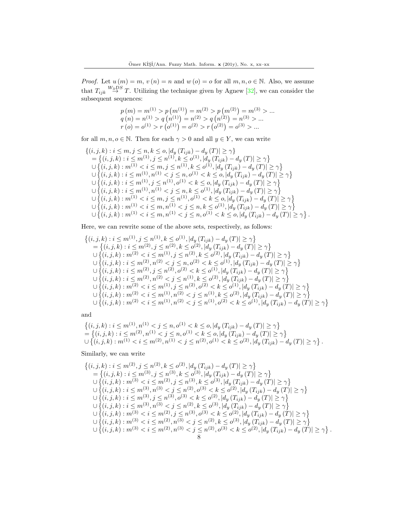*Proof.* Let  $u(m) = m$ ,  $v(n) = n$  and  $w(o) = o$  for all  $m, n, o \in \mathbb{N}$ . Also, we assume that  $T_{ijk} \stackrel{W_3DS}{\rightarrow} T$ . Utilizing the technique given by Agnew [\[32\]](#page-11-25), we can consider the subsequent sequences:

$$
p(m) = m^{(1)} > p(m^{(1)}) = m^{(2)} > p(m^{(2)}) = m^{(3)} > \dots
$$
  
\n
$$
q(n) = n^{(1)} > q(n^{(1)}) = n^{(2)} > q(n^{(2)}) = n^{(3)} > \dots
$$
  
\n
$$
r(o) = o^{(1)} > r(o^{(1)}) = o^{(2)} > r(o^{(2)}) = o^{(3)} > \dots
$$

for all  $m, n, o \in \mathbb{N}$ . Then for each  $\gamma > 0$  and all  $y \in Y$ , we can write

$$
\{(i,j,k): i \leq m, j \leq n, k \leq o, |d_y(T_{ijk}) - d_y(T)| \geq \gamma\} \n= \{(i,j,k): i \leq m^{(1)}, j \leq n^{(1)}, k \leq o^{(1)}, |d_y(T_{ijk}) - d_y(T)| \geq \gamma\} \n\cup \{(i,j,k): m^{(1)} < i \leq m, j \leq n^{(1)}, k \leq o^{(1)}, |d_y(T_{ijk}) - d_y(T)| \geq \gamma\} \n\cup \{(i,j,k): i \leq m^{(1)}, n^{(1)} < j \leq n, o^{(1)} < k \leq o, |d_y(T_{ijk}) - d_y(T)| \geq \gamma\} \n\cup \{(i,j,k): i \leq m^{(1)}, j \leq n^{(1)}, o^{(1)} < k \leq o, |d_y(T_{ijk}) - d_y(T)| \geq \gamma\} \n\cup \{(i,j,k): i \leq m^{(1)}, n^{(1)} < j \leq n, k \leq o^{(1)}, |d_y(T_{ijk}) - d_y(T)| \geq \gamma\} \n\cup \{(i,j,k): m^{(1)} < i \leq m, j \leq n^{(1)}, o^{(1)} < k \leq o, |d_y(T_{ijk}) - d_y(T)| \geq \gamma\} \n\cup \{(i,j,k): m^{(1)} < i \leq m, n^{(1)} < j \leq n, k \leq o^{(1)}, |d_y(T_{ijk}) - d_y(T)| \geq \gamma\} \n\cup \{(i,j,k): m^{(1)} < i \leq m, n^{(1)} < j \leq n, o^{(1)} < k \leq o, |d_y(T_{ijk}) - d_y(T)| \geq \gamma\} \n\cup \{(i,j,k): m^{(1)} < i \leq m, n^{(1)} < j \leq n, o^{(1)} < k \leq o, |d_y(T_{ijk}) - d_y(T)| \geq \gamma\}.
$$

Here, we can rewrite some of the above sets, respectively, as follows:

$$
\begin{aligned}\n\{(i,j,k): i \leq m^{(1)}, j \leq n^{(1)}, k \leq o^{(1)}, |d_y(T_{ijk}) - d_y(T)| \geq \gamma\} \\
&= \{(i,j,k): i \leq m^{(2)}, j \leq n^{(2)}, k \leq o^{(2)}, |d_y(T_{ijk}) - d_y(T)| \geq \gamma\} \\
&\cup \{(i,j,k): m^{(2)} < i \leq m^{(1)}, j \leq n^{(2)}, k \leq o^{(2)}, |d_y(T_{ijk}) - d_y(T)| \geq \gamma\} \\
&\cup \{(i,j,k): i \leq m^{(2)}, n^{(2)} < j \leq n, o^{(2)} < k \leq o^{(1)}, |d_y(T_{ijk}) - d_y(T)| \geq \gamma\} \\
&\cup \{(i,j,k): i \leq m^{(2)}, j \leq n^{(2)}, o^{(2)} < k \leq o^{(1)}, |d_y(T_{ijk}) - d_y(T)| \geq \gamma\} \\
&\cup \{(i,j,k): i \leq m^{(2)}, n^{(2)} < j \leq n^{(1)}, k \leq o^{(2)}, |d_y(T_{ijk}) - d_y(T)| \geq \gamma\} \\
&\cup \{(i,j,k): m^{(2)} < i \leq m^{(1)}, j \leq n^{(2)}, o^{(2)} < k \leq o^{(1)}, |d_y(T_{ijk}) - d_y(T)| \geq \gamma\} \\
&\cup \{(i,j,k): m^{(2)} < i \leq m^{(1)}, n^{(2)} < j \leq n^{(1)}, k \leq o^{(2)}, |d_y(T_{ijk}) - d_y(T)| \geq \gamma\} \\
&\cup \{(i,j,k): m^{(2)} < i \leq m^{(1)}, n^{(2)} < j \leq n^{(1)}, o^{(2)} < k \leq o^{(1)}, |d_y(T_{ijk}) - d_y(T)| \geq \gamma\} \\
&\cup \{(i,j,k): m^{(2)} < i \leq m^{(1)}, n^{(2)} < j \leq n^{(1)}, o^{(2)} < k \leq o^{(1)}, |d_y(T_{ijk}) - d_y(T)| \geq \gamma\}\n\end{aligned}
$$

and

$$
\begin{aligned}\n\left\{(i,j,k): i \leq m^{(1)}, n^{(1)} < j \leq n, o^{(1)} < k \leq o, |d_y(T_{ijk}) - d_y(T)| \geq \gamma\right\} \\
&= \left\{(i,j,k): i \leq m^{(2)}, n^{(1)} < j \leq n, o^{(1)} < k \leq o, |d_y(T_{ijk}) - d_y(T)| \geq \gamma\right\} \\
\cup \left\{(i,j,k): m^{(1)} < i \leq m^{(2)}, n^{(1)} < j \leq n^{(2)}, o^{(1)} < k \leq o^{(2)}, |d_y(T_{ijk}) - d_y(T)| \geq \gamma\right\}.\n\end{aligned}
$$

Similarly, we can write

$$
\begin{array}{l} \{(i,j,k): i\leq m^{(2)}, j\leq n^{(2)}, k\leq o^{(2)}, |d_{y}\left(T_{ijk}\right)-d_{y}\left(T\right)|\geq \gamma\} \\ = \left\{(i,j,k): i\leq m^{(3)}, j\leq n^{(3)}, k\leq o^{(3)}, |d_{y}\left(T_{ijk}\right)-d_{y}\left(T\right)|\geq \gamma\right\} \\ \cup\left\{(i,j,k): m^{(3)}< i\leq m^{(2)}, j\leq n^{(3)}, k\leq o^{(3)}, |d_{y}\left(T_{ijk}\right)-d_{y}\left(T\right)|\geq \gamma\right\} \\ \cup\left\{(i,j,k): i\leq m^{(3)}, n^{(3)}< j\leq n^{(2)}, o^{(3)}< k\leq o^{(2)}, |d_{y}\left(T_{ijk}\right)-d_{y}\left(T\right)|\geq \gamma\right\} \\ \cup\left\{(i,j,k): i\leq m^{(3)}, j\leq n^{(3)}, o^{(3)}< k\leq o^{(2)}, |d_{y}\left(T_{ijk}\right)-d_{y}\left(T\right)|\geq \gamma\right\} \\ \cup\left\{(i,j,k): i\leq m^{(3)}, n^{(3)}< j\leq n^{(2)}, k\leq o^{(3)}, |d_{y}\left(T_{ijk}\right)-d_{y}\left(T\right)|\geq \gamma\right\} \\ \cup\left\{(i,j,k): m^{(3)}< i\leq m^{(2)}, j\leq n^{(3)}, o^{(3)}< k\leq o^{(2)}, |d_{y}\left(T_{ijk}\right)-d_{y}\left(T\right)|\geq \gamma\right\} \\ \cup\left\{(i,j,k): m^{(3)}< i\leq m^{(2)}, n^{(3)}< j\leq n^{(2)}, k\leq o^{(3)}, |d_{y}\left(T_{ijk}\right)-d_{y}\left(T\right)|\geq \gamma\right\} \\ \cup\left\{(i,j,k): m^{(3)}< i\leq m^{(2)}, n^{(3)}< j\leq n^{(2)}, o^{(3)}< k\leq o^{(2)}, |d_{y}\left(T_{ijk}\right)-d_{y}\left(T\right)|\geq \gamma\right\} \\ \cup\left\{(i,j,k): m^{(3)}< i\leq m^{(2)}, n^{(3)}< j\leq n^{(2)}, o^{(3)}< k\leq o^{(2)}, |d_{y}\left(T_{ijk}\right)-d_{y}\left(T\right)|
$$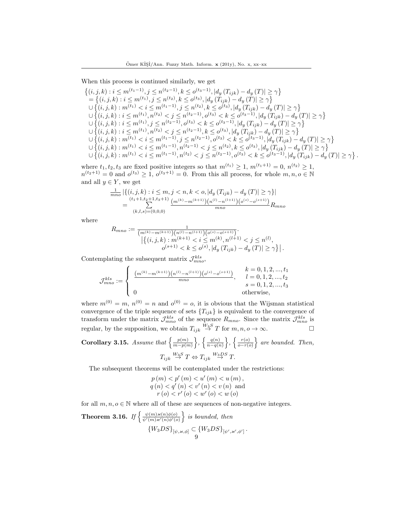When this process is continued similarly, we get

$$
\begin{aligned}\n\{(i,j,k):i\leq m^{(t_1-1)},j\leq n^{(t_2-1)},k\leq o^{(t_3-1)},|d_y(T_{ijk})-d_y(T)|\geq \gamma\} \\
&= \{(i,j,k):i\leq m^{(t_1)},j\leq n^{(t_2)},k\leq o^{(t_3)},|d_y(T_{ijk})-d_y(T)|\geq \gamma\} \\
\cup \{(i,j,k):m^{(t_1)}< i\leq m^{(t_1-1)},j\leq n^{(t_2)},k\leq o^{(t_3)},|d_y(T_{ijk})-d_y(T)|\geq \gamma\} \\
\cup \{(i,j,k):i\leq m^{(t_1)},n^{(t_2)}< j\leq n^{(t_2-1)},o^{(t_3)}< k\leq o^{(t_3-1)},|d_y(T_{ijk})-d_y(T)|\geq \gamma\} \\
\cup \{(i,j,k):i\leq m^{(t_1)},j\leq n^{(t_2-1)},o^{(t_3)}< k\leq o^{(t_3-1)},|d_y(T_{ijk})-d_y(T)|\geq \gamma\} \\
\cup \{(i,j,k):i\leq m^{(t_1)},n^{(t_2)}< j\leq n^{(t_2-1)},k\leq o^{(t_3)},|d_y(T_{ijk})-d_y(T)|\geq \gamma\} \\
\cup \{(i,j,k):m^{(t_1)}< i\leq m^{(t_1-1)},j\leq n^{(t_2-1)},o^{(t_3)}< k\leq o^{(t_3-1)},|d_y(T_{ijk})-d_y(T)|\geq \gamma\} \\
\cup \{(i,j,k):m^{(t_1)}< i\leq m^{(t_1-1)},n^{(t_2-1)}< j\leq n^{(t_2)},k\leq o^{(t_3)},|d_y(T_{ijk})-d_y(T)|\geq \gamma\} \\
\cup \{(i,j,k):m^{(t_1)}< i\leq m^{(t_1-1)},n^{(t_2-1)}< j\leq n^{(t_2)},k\leq o^{(t_3)},|d_y(T_{ijk})-d_y(T)|\geq \gamma\} \\
\cup \{(i,j,k):m^{(t_1)}< i\leq m^{(t_1-1)},n^{(t_2-1)}< j\leq n^{(t_2-1)},o^{(t_3)}< k\leq o^{(t_3-1)},|d_y(T_{ijk})-d_y(T)|\
$$

where  $t_1, t_2, t_3$  are fixed positive integers so that  $m^{(t_1)} \geq 1$ ,  $m^{(t_1+1)} = 0$ ,  $n^{(t_2)} \geq 1$ ,  $n^{(t_2+1)} = 0$  and  $o^{(t_3)} \geq 1$ ,  $o^{(t_3+1)} = 0$ . From this all process, for whole  $m, n, o \in \mathbb{N}$ and all  $y \in Y$ , we get

$$
\frac{1}{mno} \left| \left\{ (i, j, k) : i \leq m, j < n, k < o, \left| d_y \left( T_{ijk} \right) - d_y \left( T \right) \right| \geq \gamma \right\} \right|
$$
\n
$$
= \sum_{(k, l, s) = (0, 0, 0)}^{(t_1 + 1, t_2 + 1, t_3 + 1)} \underbrace{\left( m^{(k)} - m^{(k+1)} \right) \left( n^{(l)} - n^{(l+1)} \right) \left( o^{(s)} - o^{(s+1)} \right)}_{mno} R_{mno}
$$

where

$$
R_{mno} := \frac{1}{\binom{m^{(k)} - m^{(k+1)}}{(n^{(l)} - n^{(l+1)})} \binom{b^{(k)} - b^{(k+1)}}{(k, j, k) : m^{(k+1)} < i \le m^{(k)}, n^{(l+1)} < j \le n^{(l)}},
$$
\n
$$
o^{(s+1)} < k \le o^{(s)}, |d_y(T_{ijk}) - d_y(T)| \ge \gamma \} \Big|.
$$

Contemplating the subsequent matrix  $\mathcal{J}^{kls}_{mno}$ ,

$$
\mathcal{J}^{kls}_{mno} := \begin{cases} \frac{(m^{(k)} - m^{(k+1)})(n^{(l)} - n^{(l+1)})(o^{(s)} - o^{(s+1)})}{mno}, & l = 0, 1, 2, \dots, t_2\\ mno, & l = 0, 1, 2, \dots, t_3\\ 0 & \text{otherwise,} \end{cases}
$$

where  $m^{(0)} = m$ ,  $n^{(0)} = n$  and  $o^{(0)} = o$ , it is obvious that the Wijsman statistical convergence of the triple sequence of sets  ${T_{ijk}}$  is equivalent to the convergence of transform under the matrix  $\mathcal{J}_{mno}^{kls}$  of the sequence  $R_{mno}$ . Since the matrix  $\mathcal{J}_{mno}^{kls}$  is regular, by the supposition, we obtain  $T_{ijk} \stackrel{W_3S}{\rightarrow} T$  for  $m, n, o \rightarrow \infty$ .

Corollary 3.15. Assume that 
$$
\left\{\frac{p(m)}{m-p(m)}\right\}
$$
,  $\left\{\frac{q(n)}{n-q(n)}\right\}$ ,  $\left\{\frac{r(o)}{o-r(o)}\right\}$  are bounded. Then,  
 $T_{ijk} \stackrel{W_3S}{\rightarrow} T \Leftrightarrow T_{ijk} \stackrel{W_3DS}{\rightarrow} T$ .

The subsequent theorems will be contemplated under the restrictions:

$$
p(m) < p'(m) < u'(m) < u(m),
$$
\n
$$
q(n) < q'(n) < v'(n) < v(n) \text{ and }
$$
\n
$$
r(o) < r'(o) < w'(o) < w(o)
$$

for all  $m, n, o \in \mathbb{N}$  where all of these are sequences of non-negative integers.

**Theorem 3.16.** If  $\begin{cases} \frac{\psi(m)\varkappa(n)\phi(o)}{\psi'(m)\varkappa'(n)\phi'(o)} \end{cases}$  $\left\{\frac{\psi(m)\varkappa(n)\phi(o)}{\psi'(m)\varkappa'(n)\phi'(o)}\right\}$  is bounded, then  $\{W_3DS\}_{[\psi,\varkappa,\phi]} \subset \{W_3DS\}_{[\psi',\varkappa',\phi']}$ . 9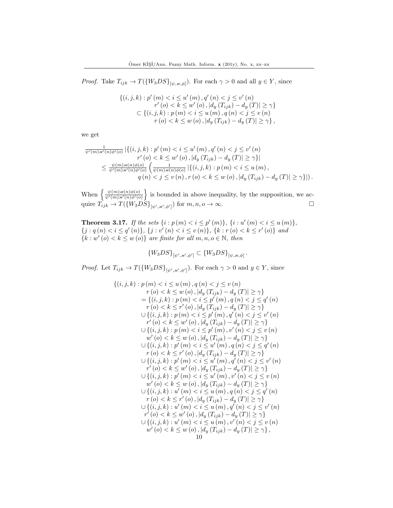*Proof.* Take  $T_{ijk} \to T(\{W_3DS\}_{[\psi,\varkappa,\phi]})$ . For each  $\gamma > 0$  and all  $y \in Y$ , since

$$
\{(i, j, k) : p'(m) < i \le u'(m), q'(n) < j \le v'(n) \\
r'(o) < k \le w'(o), |d_y(T_{ijk}) - d_y(T)| \ge \gamma\} \\
\subset \{(i, j, k) : p(m) < i \le u(m), q(n) < j \le v(n) \\
r(o) < k \le w(o), |d_y(T_{ijk}) - d_y(T)| \ge \gamma\},
$$

we get

$$
\frac{1}{\psi'(m)\varkappa'(n)\phi'(o)} | \{ (i,j,k) : p'(m) < i \le u'(m), q'(n) < j \le v'(n) \n r'(o) < k \le w'(o), |d_y(T_{ijk}) - d_y(T)| \ge \gamma \} | \n\le \frac{\psi(m)\varkappa(n)\phi(o)}{\psi'(m)\varkappa'(n)\phi'(o)} \left( \frac{1}{\psi(m)\varkappa(n)\phi(o)} | \{ (i,j,k) : p(m) < i \le u(m), \n q(n) < j \le v(n), r(o) < k \le w(o), |d_y(T_{ijk}) - d_y(T)| \ge \gamma \} | \right).
$$

When  $\left\{\frac{\psi(m)\varkappa(n)\phi(o)}{\psi'(m)\varkappa'(n)\phi'(o)}\right\}$  $\frac{\psi(m)\varkappa(n)\phi(o)}{\psi'(m)\varkappa'(n)\phi'(o)}$  is bounded in above inequality, by the supposition, we acquire  $\hat{T}_{ijk} \rightarrow T(\{W_3DS\}_{[\psi',\varkappa',\phi']}$  for  $m, n, o \rightarrow \infty$ .

**Theorem 3.17.** If the sets  $\{i : p(m) < i \leq p'(m)\}, \{i : u'(m) < i \leq u(m)\}\$  $\{j : q(n) < i \leq q'(n)\}, \{j : v'(n) < i \leq v(n)\}, \{k : r(o) < k \leq r'(o)\}$  and  ${k : w'(o) < k \leq w(o)}$  are finite for all  $m, n, o \in \mathbb{N}$ , then

$$
\{W_3DS\}_{[\psi',\varkappa',\phi']} \subset \{W_3DS\}_{[\psi,\varkappa,\phi]}.
$$

*Proof.* Let  $T_{ijk} \to T(\{W_3DS\}_{[\psi',\varkappa',\phi']}$ . For each  $\gamma > 0$  and  $y \in Y$ , since

$$
\{(i,j,k): p(m) < i \le u(m), q(n) < j \le v(n) \nr(o) < k \le w(o), |d_y(T_{ijk}) - d_y(T)| \ge \gamma\} \n= \{(i,j,k): p(m) < i \le p'(m), q(n) < j \le q'(n) \nr(o) < k \le r'(o), |d_y(T_{ijk}) - d_y(T)| \ge \gamma\} \n\cup \{(i,j,k): p(m) < i \le p'(m), q'(n) < j \le v'(n) \nr'(o) < k \le w'(o), |d_y(T_{ijk}) - d_y(T)| \ge \gamma\} \n\cup \{(i,j,k): p(m) < i \le p'(m), v'(n) < j \le v(n) \nw'(o) < k \le w(o), |d_y(T_{ijk}) - d_y(T)| \ge \gamma\} \n\cup \{(i,j,k): p'(m) < i \le u'(m), q(n) < j \le q'(n) \nr(o) < k \le r'(o), |d_y(T_{ijk}) - d_y(T)| \ge \gamma\} \n\cup \{(i,j,k): p'(m) < i \le u'(m), q'(n) < j \le v'(n) \nr'(o) < k \le w'(o), |d_y(T_{ijk}) - d_y(T)| \ge \gamma\} \n\cup \{(i,j,k): p'(m) < i \le u'(m), v'(n) < j \le v'(n) \nr'(o) < k \le w(o), |d_y(T_{ijk}) - d_y(T)| \ge \gamma\} \n\cup \{(i,j,k): u'(m) < i \le u(m), q(n) < j \le q'(n) \nr(o) < k \le r'(o), |d_y(T_{ijk}) - d_y(T)| \ge \gamma\} \n\cup \{(i,j,k): u'(m) < i \le u(m), q'(n) < j \le v'(n) \nr'(o) < k \le w'(o), |d_y(T_{ijk}) - d_y(T)| \ge \gamma\} \n\cup \{(i,j,k): u'(m) < i \le u(m), v'(n) < j \le v'(n) \nr'(o) < k \le w'(o), |d_y(T_{ijk}) - d_y(T)| \ge \gamma\} \n\cup \{(i,j,k): u'(m) < i \le u(m), v'(n) < j \le v'(n
$$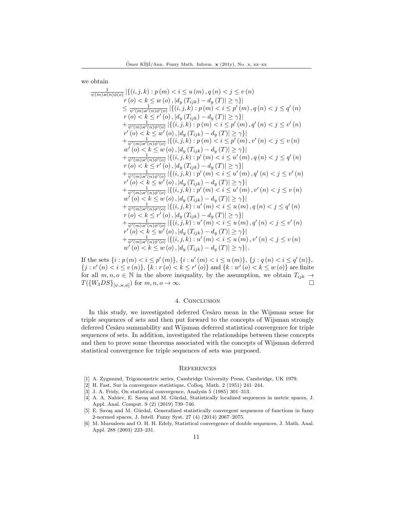we obtain

$$
\frac{1}{\psi(m)\varkappa(n)\phi(o)}\left|\{(i,j,k):p(m)i\leq u(m),q(n)
$$

If the sets  $\{i : p(m) < i \leq p'(m)\}\$ ,  $\{i : u'(m) < i \leq u(m)\}\$ ,  $\{j : q(n) < i \leq q'(n)\}\$ ,  $\{j : v'(n) < i \le v(n)\}, \{k : r(o) < k \le r'(o)\}\$ and  $\{k : w'(o) < k \le w(o)\}\$ are finite for all  $m, n, o \in \mathbb{N}$  in the above inequality, by the assumption, we obtain  $T_{ijk} \rightarrow$  $T({W_3DS}_{[\psi,\varkappa,\phi]})$  for  $m,n,o\to\infty$ .

## 4. Conclusion

In this study, we investigated deferred Cesàro mean in the Wijsman sense for triple sequences of sets and then put forward to the concepts of Wijsman strongly deferred Cesàro summability and Wijsman deferred statistical convergence for triple sequences of sets. In addition, investigated the relationships between these concepts and then to prove some theorems associated with the concepts of Wijsman deferred statistical convergence for triple sequences of sets was purposed.

#### **REFERENCES**

- <span id="page-10-0"></span>[1] A. Zygmund, Trigonometric series, Cambridge University Press, Cambridge, UK 1979.
- <span id="page-10-1"></span>[2] H. Fast, Sur la convergence statistique, Colloq. Math. 2 (1951) 241–244.
- <span id="page-10-2"></span>[3] J. A. Fridy, On statistical convergence, Analysis 5 (1985) 301–313.
- <span id="page-10-3"></span>[4] A. A. Nabiev, E. Savaş and M. Gürdal, Statistically localized sequences in metric spaces, J. Appl. Anal. Comput. 9 (2) (2019) 739–746.
- <span id="page-10-4"></span>[5] E. Savaş and M. Gürdal, Generalized statistically convergent sequences of functions in fuzzy 2-normed spaces, J. Intell. Fuzzy Syst. 27 (4) (2014) 2067–2075.
- <span id="page-10-5"></span>[6] M. Mursaleen and O. H. H. Edely, Statistical convergence of double sequences, J. Math. Anal. Appl. 288 (2003) 223–231.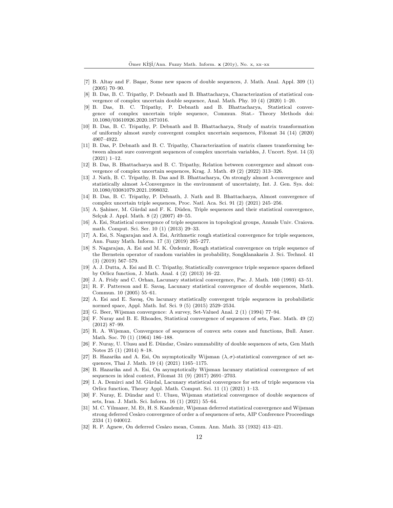- <span id="page-11-0"></span>[7] B. Altay and F. Başar, Some new spaces of double sequences, J. Math. Anal. Appl. 309 (1) (2005) 70–90.
- <span id="page-11-1"></span>[8] B. Das, B. C. Tripathy, P. Debnath and B. Bhattacharya, Characterization of statistical convergence of complex uncertain double sequence, Anal. Math. Phy. 10 (4) (2020) 1–20.
- <span id="page-11-2"></span>[9] B. Das, B. C. Tripathy, P. Debnath and B. Bhattacharya, Statistical convergence of complex uncertain triple sequence, Commun. Stat.- Theory Methods doi: 10.1080/03610926.2020.1871016.
- <span id="page-11-3"></span>[10] B. Das, B. C. Tripathy, P. Debnath and B. Bhattacharya, Study of matrix transformation of uniformly almost surely convergent complex uncertain sequences, Filomat 34 (14) (2020) 4907–4922.
- <span id="page-11-4"></span>[11] B. Das, P. Debnath and B. C. Tripathy, Characterization of matrix classes transforming between almost sure convergent sequences of complex uncertain variables, J. Uncert. Syst. 14 (3) (2021) 1–12.
- <span id="page-11-5"></span>[12] B. Das, B. Bhattacharya and B. C. Tripathy, Relation between convergence and almost convergence of complex uncertain sequences, Krag. J. Math. 49 (2) (2022) 313–326.
- <span id="page-11-6"></span>[13] J. Nath, B. C. Tripathy, B. Das and B. Bhattacharya, On strongly almost λ-convergence and statistically almost  $\lambda$ -Convergence in the environment of uncertainty, Int. J. Gen. Sys. doi: 10.1080/03081079.2021.1998032.
- <span id="page-11-7"></span>[14] B. Das, B. C. Tripathy, P. Debnath, J. Nath and B. Bhattacharya, Almost convergence of complex uncertain triple sequences, Proc. Natl. Aca. Sci. 91 (2) (2021) 245–256.
- <span id="page-11-8"></span>[15] A. Sahiner, M. Gürdal and F. K. Düden, Triple sequences and their statistical convergence, Selçuk J. Appl. Math. 8 (2) (2007) 49-55.
- <span id="page-11-9"></span>[16] A. Esi, Statistical convergence of triple sequences in topological groups, Annals Univ. Craiova. math. Comput. Sci. Ser. 10 (1) (2013) 29–33.
- <span id="page-11-10"></span>[17] A. Esi, S. Nagarajan and A. Esi, Arithmetic rough statistical convergence for triple sequences, Ann. Fuzzy Math. Inform. 17 (3) (2019) 265–277.
- <span id="page-11-11"></span>[18] S. Nagarajan, A. Esi and M. K. Özdemir, Rough statistical convergence on triple sequence of the Bernstein operator of random variables in probability, Songklanakarin J. Sci. Technol. 41 (3) (2019) 567–579.
- <span id="page-11-12"></span>[19] A. J. Dutta, A. Esi and B. C. Tripathy, Statistically convergence triple sequence spaces defined by Orlicz function, J. Math. Anal. 4 (2) (2013) 16–22.
- <span id="page-11-13"></span>[20] J. A. Fridy and C. Orhan, Lacunary statistical convergence, Pac. J. Math. 160 (1993) 43–51.
- <span id="page-11-14"></span>[21] R. F. Patterson and E. Savaş, Lacunary statistical convergence of double sequences, Math. Commun. 10 (2005) 55–61.
- <span id="page-11-15"></span>[22] A. Esi and E. Savas, On lacunary statistically convergent triple sequences in probabilistic normed space, Appl. Math. Inf. Sci. 9 (5) (2015) 2529–2534.
- <span id="page-11-16"></span>[23] G. Beer, Wijsman convergence: A survey, Set-Valued Anal. 2 (1) (1994) 77–94.
- <span id="page-11-17"></span>[24] F. Nuray and B. E. Rhoades, Statistical convergence of sequences of sets, Fasc. Math. 49 (2) (2012) 87–99.
- <span id="page-11-18"></span>[25] R. A. Wijsman, Convergence of sequences of convex sets cones and functions, Bull. Amer. Math. Soc. 70 (1) (1964) 186–188.
- <span id="page-11-19"></span>[26] F. Nuray, U. Ulusu and E. Dündar, Cesàro summability of double sequences of sets, Gen Math Notes 25 (1) (2014) 8–18.
- <span id="page-11-20"></span>[27] B. Hazarika and A. Esi, On ssymptotically Wijsman  $(\lambda, \sigma)$ -statistical convergence of set sequences, Thai J. Math. 19 (4) (2021) 1165–1175.
- <span id="page-11-21"></span>[28] B. Hazarika and A. Esi, On asymptotically Wijsman lacunary statistical convergence of set sequences in ideal context, Filomat 31 (9) (2017) 2691–2703.
- <span id="page-11-22"></span>[29] I. A. Demirci and M. Gürdal, Lacunary statistical convergence for sets of triple sequences via Orlicz function, Theory Appl. Math. Comput. Sci. 11 (1) (2021) 1–13.
- <span id="page-11-23"></span>[30] F. Nuray, E. Dündar and U. Ulusu, Wijsman statistical convergence of double sequences of sets, Iran. J. Math. Sci. Inform. 16 (1) (2021) 55–64.
- <span id="page-11-24"></span>[31] M. C. Yilmazer, M. Et, H. S. Kandemir, Wijsman deferred statistical convergence and Wijsman strong deferred Cesàro convergence of order a of sequences of sets, AIP Conference Proceedings 2334 (1) 040012.
- <span id="page-11-25"></span>[32] R. P. Agnew, On deferred Cesàro mean, Comm. Ann. Math. 33 (1932) 413-421.